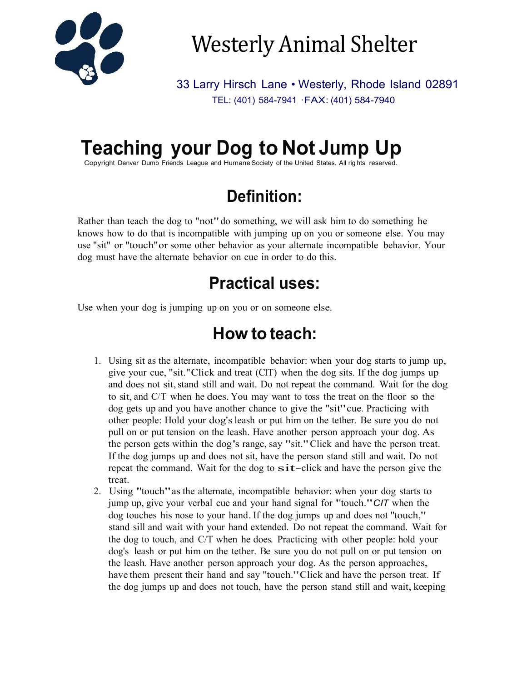

Westerly Animal Shelter

33 Larry Hirsch Lane • Westerly, Rhode Island 02891 TEL: (401) 584-7941 ·FAX: (401) 584-7940

# **Teaching your Dog to Not Jump Up**

Copyright Denver Dumb Friends League and Humane Society of the United States. All rig hts reserved.

## **Definition:**

Rather than teach the dog to "not" do something, we will ask him to do something he knows how to do that is incompatible with jumping up on you or someone else. You may use "sit" or ''touch"or some other behavior as your alternate incompatible behavior. Your dog must have the alternate behavior on cue in order to do this.

## **Practical uses:**

Use when your dog is jumping up on you or on someone else.

## **How to teach:**

- 1. Using sit as the alternate, incompatible behavior: when your dog starts to jump up, give your cue, "sit."Click and treat (CIT) when the dog sits. If the dog jumps up and does not sit,stand still and wait. Do not repeat the command. Wait for the dog to sit, and C/T when he does. You may want to toss the treat on the floor so the dog gets up and you have another chance to give the "sit"cue. Practicing with other people: Hold your dog'sleash or put him on the tether. Be sure you do not pull on or put tension on the leash. Have another person approach your dog. As the person gets within the dog's range, say "sit."Click and have the person treat. If the dog jumps up and does not sit, have the person stand still and wait. Do not repeat the command. Wait for the dog to  $s$ it-click and have the person give the treat.
- 2. Using ''touch"as the alternate, incompatible behavior: when your dog starts to jump up, give your verbal cue and your hand signal for ''touch."*CIT* when the dog touches his nose to your hand.If the dog jumps up and does not ''touch," stand sill and wait with your hand extended. Do not repeat the command. Wait for the dog to touch, and C/T when he does. Practicing with other people: hold your dog's leash or put him on the tether. Be sure you do not pull on or put tension on the leash. Have another person approach your dog. As the person approaches, have them present their hand and say "touch." Click and have the person treat. If the dog jumps up and does not touch, have the person stand still and wait, keeping